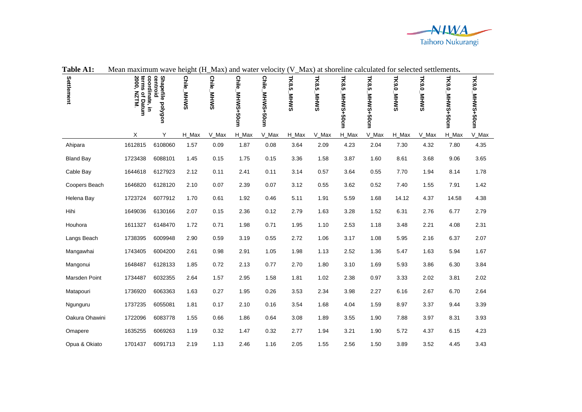

| Table A1:            | Mean maximum wave height (H_Max) and water velocity (V_Max) at shoreline calculated for selected settlements. |                                                   |                             |            |                           |                           |                      |                      |                    |                    |            |            |                        |                 |
|----------------------|---------------------------------------------------------------------------------------------------------------|---------------------------------------------------|-----------------------------|------------|---------------------------|---------------------------|----------------------|----------------------|--------------------|--------------------|------------|------------|------------------------|-----------------|
| Settlement           | terms<br>2000,<br><b>N1ZN</b><br>of Datum                                                                     | coordinate,<br>Shapefile polygon<br>centroid<br>Ξ | <b>Chile</b><br><b>MHWS</b> | Chile_MHWS | <b>Chile</b><br>MHWS+50cm | <b>Chile</b><br>MHWS+50cm | TK8.5<br><b>MHWS</b> | TK8.5<br><b>SMHM</b> | TK8.5<br>MHW3+50cm | TK8.5<br>MHXS+50cm | TK9.0_MHWS | TK9.0_MHWS | <b>HK9:0_MHW6+20cm</b> | TK9.0_MHW9+20cm |
|                      | X                                                                                                             | Y                                                 | H_Max                       | V_Max      | H_Max                     | V Max                     | H Max                | V_Max                | H_Max              | V_Max              | H_Max      | V_Max      | H_Max                  | V_Max           |
| Ahipara              | 1612815                                                                                                       | 6108060                                           | 1.57                        | 0.09       | 1.87                      | 0.08                      | 3.64                 | 2.09                 | 4.23               | 2.04               | 7.30       | 4.32       | 7.80                   | 4.35            |
| <b>Bland Bay</b>     | 1723438                                                                                                       | 6088101                                           | 1.45                        | 0.15       | 1.75                      | 0.15                      | 3.36                 | 1.58                 | 3.87               | 1.60               | 8.61       | 3.68       | 9.06                   | 3.65            |
| Cable Bay            | 1644618                                                                                                       | 6127923                                           | 2.12                        | 0.11       | 2.41                      | 0.11                      | 3.14                 | 0.57                 | 3.64               | 0.55               | 7.70       | 1.94       | 8.14                   | 1.78            |
| Coopers Beach        | 1646820                                                                                                       | 6128120                                           | 2.10                        | 0.07       | 2.39                      | 0.07                      | 3.12                 | 0.55                 | 3.62               | 0.52               | 7.40       | 1.55       | 7.91                   | 1.42            |
| Helena Bay           | 1723724                                                                                                       | 6077912                                           | 1.70                        | 0.61       | 1.92                      | 0.46                      | 5.11                 | 1.91                 | 5.59               | 1.68               | 14.12      | 4.37       | 14.58                  | 4.38            |
| Hihi                 | 1649036                                                                                                       | 6130166                                           | 2.07                        | 0.15       | 2.36                      | 0.12                      | 2.79                 | 1.63                 | 3.28               | 1.52               | 6.31       | 2.76       | 6.77                   | 2.79            |
| Houhora              | 1611327                                                                                                       | 6148470                                           | 1.72                        | 0.71       | 1.98                      | 0.71                      | 1.95                 | 1.10                 | 2.53               | 1.18               | 3.48       | 2.21       | 4.08                   | 2.31            |
| Langs Beach          | 1738395                                                                                                       | 6009948                                           | 2.90                        | 0.59       | 3.19                      | 0.55                      | 2.72                 | 1.06                 | 3.17               | 1.08               | 5.95       | 2.16       | 6.37                   | 2.07            |
| Mangawhai            | 1743405                                                                                                       | 6004200                                           | 2.61                        | 0.98       | 2.91                      | 1.05                      | 1.98                 | 1.13                 | 2.52               | 1.36               | 5.47       | 1.63       | 5.94                   | 1.67            |
| Mangonui             | 1648487                                                                                                       | 6128133                                           | 1.85                        | 0.72       | 2.13                      | 0.77                      | 2.70                 | 1.80                 | 3.10               | 1.69               | 5.93       | 3.86       | 6.30                   | 3.84            |
| <b>Marsden Point</b> | 1734487                                                                                                       | 6032355                                           | 2.64                        | 1.57       | 2.95                      | 1.58                      | 1.81                 | 1.02                 | 2.38               | 0.97               | 3.33       | 2.02       | 3.81                   | 2.02            |
| Matapouri            | 1736920                                                                                                       | 6063363                                           | 1.63                        | 0.27       | 1.95                      | 0.26                      | 3.53                 | 2.34                 | 3.98               | 2.27               | 6.16       | 2.67       | 6.70                   | 2.64            |
| Ngunguru             | 1737235                                                                                                       | 6055081                                           | 1.81                        | 0.17       | 2.10                      | 0.16                      | 3.54                 | 1.68                 | 4.04               | 1.59               | 8.97       | 3.37       | 9.44                   | 3.39            |
| Oakura Ohawini       | 1722096                                                                                                       | 6083778                                           | 1.55                        | 0.66       | 1.86                      | 0.64                      | 3.08                 | 1.89                 | 3.55               | 1.90               | 7.88       | 3.97       | 8.31                   | 3.93            |
| Omapere              | 1635255                                                                                                       | 6069263                                           | 1.19                        | 0.32       | 1.47                      | 0.32                      | 2.77                 | 1.94                 | 3.21               | 1.90               | 5.72       | 4.37       | 6.15                   | 4.23            |
| Opua & Okiato        | 1701437                                                                                                       | 6091713                                           | 2.19                        | 1.13       | 2.46                      | 1.16                      | 2.05                 | 1.55                 | 2.56               | 1.50               | 3.89       | 3.52       | 4.45                   | 3.43            |